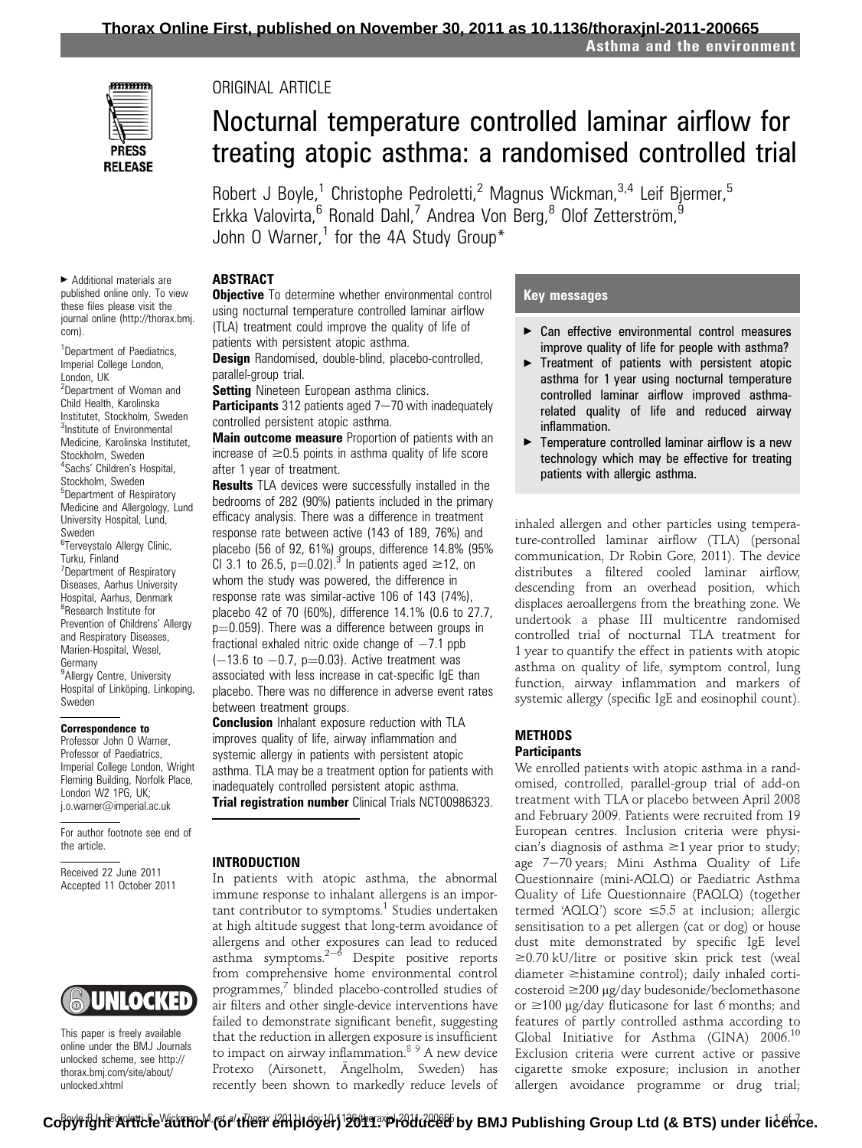## <del>mmm</del> **PRESS RELEASE**

# Nocturnal temperature controlled laminar airflow for treating atopic asthma: a randomised controlled trial

Robert J Boyle,<sup>1</sup> Christophe Pedroletti,<sup>2</sup> Magnus Wickman,<sup>3,4</sup> Leif Bjermer,<sup>5</sup> Erkka Valovirta,<sup>6</sup> Ronald Dahl,7 Andrea Von Berg,<sup>8</sup> Olof Zetterström,<sup>9</sup> John O Warner, $1$  for the 4A Study Group\*

## ABSTRACT

ORIGINAL ARTICLE

**Objective** To determine whether environmental control using nocturnal temperature controlled laminar airflow (TLA) treatment could improve the quality of life of patients with persistent atopic asthma.

Design Randomised, double-blind, placebo-controlled, parallel-group trial.

**Setting** Nineteen European asthma clinics.

**Participants** 312 patients aged  $7-70$  with inadequately controlled persistent atopic asthma.

Main outcome measure Proportion of patients with an increase of  $\geq$ 0.5 points in asthma quality of life score after 1 year of treatment.

**Results** TLA devices were successfully installed in the bedrooms of 282 (90%) patients included in the primary efficacy analysis. There was a difference in treatment response rate between active (143 of 189, 76%) and placebo (56 of 92, 61%) groups, difference 14.8% (95% CI 3.1 to 26.5, p=0.02).<sup>3</sup> In patients aged  $\geq$ 12, on whom the study was powered, the difference in response rate was similar-active 106 of 143 (74%), placebo 42 of 70 (60%), difference 14.1% (0.6 to 27.7,  $p=0.059$ ). There was a difference between groups in fractional exhaled nitric oxide change of  $-7.1$  ppb  $(-13.6 \text{ to } -0.7, \text{ p=0.03})$ . Active treatment was associated with less increase in cat-specific IgE than placebo. There was no difference in adverse event rates between treatment groups.

**Conclusion** Inhalant exposure reduction with TLA improves quality of life, airway inflammation and systemic allergy in patients with persistent atopic asthma. TLA may be a treatment option for patients with inadequately controlled persistent atopic asthma. **Trial registration number** Clinical Trials NCT00986323.

#### INTRODUCTION

In patients with atopic asthma, the abnormal immune response to inhalant allergens is an impor $tant$  contributor to symptoms. $1$  Studies undertaken at high altitude suggest that long-term avoidance of allergens and other exposures can lead to reduced<br>asthma symptoms.<sup>2–6</sup> Despite positive reports from comprehensive home environmental control programmes, $\frac{7}{7}$  blinded placebo-controlled studies of air filters and other single-device interventions have failed to demonstrate significant benefit, suggesting that the reduction in allergen exposure is insufficient to impact on airway inflammation.<sup>89</sup> A new device Protexo (Airsonett, Ängelholm, Sweden) has recently been shown to markedly reduce levels of

## Key messages

- $\blacktriangleright$  Can effective environmental control measures improve quality of life for people with asthma?
- $\blacktriangleright$  Treatment of patients with persistent atopic asthma for 1 year using nocturnal temperature controlled laminar airflow improved asthmarelated quality of life and reduced airway inflammation.
- $\blacktriangleright$  Temperature controlled laminar airflow is a new technology which may be effective for treating patients with allergic asthma.

inhaled allergen and other particles using temperature-controlled laminar airflow (TLA) (personal communication, Dr Robin Gore, 2011). The device distributes a filtered cooled laminar airflow, descending from an overhead position, which displaces aeroallergens from the breathing zone. We undertook a phase III multicentre randomised controlled trial of nocturnal TLA treatment for 1 year to quantify the effect in patients with atopic asthma on quality of life, symptom control, lung function, airway inflammation and markers of systemic allergy (specific IgE and eosinophil count).

#### **METHODS**

#### **Participants**

We enrolled patients with atopic asthma in a randomised, controlled, parallel-group trial of add-on treatment with TLA or placebo between April 2008 and February 2009. Patients were recruited from 19 European centres. Inclusion criteria were physician's diagnosis of asthma  $\geq$ 1 year prior to study; age  $7-70$  years; Mini Asthma Quality of Life Questionnaire (mini-AQLQ) or Paediatric Asthma Quality of Life Questionnaire (PAQLQ) (together termed 'AQLQ') score  $\leq 5.5$  at inclusion; allergic sensitisation to a pet allergen (cat or dog) or house dust mite demonstrated by specific IgE level  $\geq$ 0.70 kU/litre or positive skin prick test (weal diameter  $\geq$ histamine control); daily inhaled corticosteroid  $\geq$ 200 µg/day budesonide/beclomethasone or  $\geq$ 100 µg/day fluticasone for last 6 months; and features of partly controlled asthma according to Global Initiative for Asthma (GINA) 2006.<sup>10</sup> Exclusion criteria were current active or passive cigarette smoke exposure; inclusion in another allergen avoidance programme or drug trial;

▶ Additional materials are published online only. To view these files please visit the journal online (http://thorax.bmj. com).

<sup>1</sup>Department of Paediatrics, Imperial College London, London, UK <sup>2</sup>Department of Woman and Child Health, Karolinska Institutet, Stockholm, Sweden <sup>3</sup>Institute of Environmental Medicine, Karolinska Institutet, Stockholm, Sweden 4 Sachs' Children's Hospital, Stockholm, Sweden <sup>5</sup>Department of Respiratory Medicine and Allergology, Lund University Hospital, Lund, Sweden <sup>6</sup>Terveystalo Allergy Clinic, Turku, Finland <sup>7</sup>Department of Respiratory Diseases, Aarhus University Hospital, Aarhus, Denmark <sup>8</sup>Research Institute for Prevention of Childrens' Allergy and Respiratory Diseases, Marien-Hospital, Wesel, Germany <sup>9</sup> Allergy Centre, University Hospital of Linköping, Linkoping, Sweden

#### Correspondence to

Professor John O Warner, Professor of Paediatrics, Imperial College London, Wright Fleming Building, Norfolk Place, London W2 1PG, UK; j.o.warner@imperial.ac.uk

For author footnote see end of the article.

Received 22 June 2011 Accepted 11 October 2011



This paper is freely available online under the BMJ Journals unlocked scheme, see http:// thorax.bmj.com/site/about/ unlocked.xhtml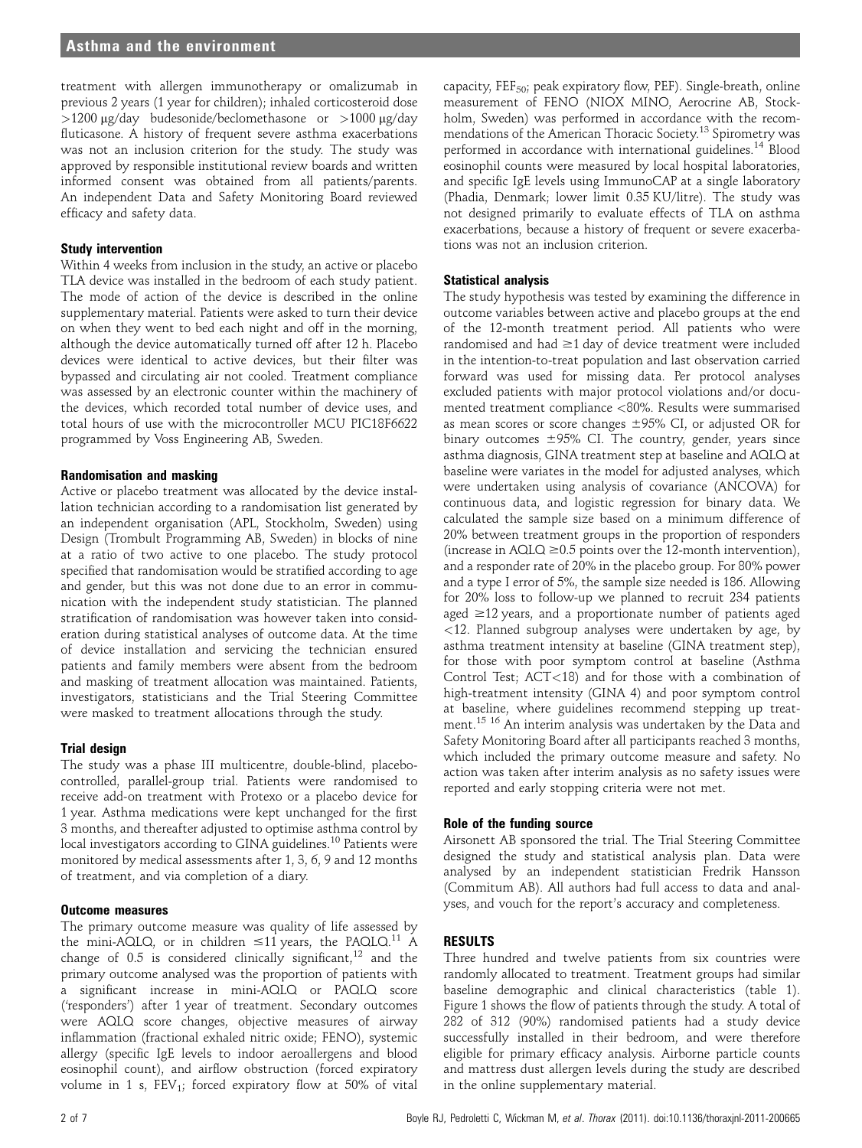treatment with allergen immunotherapy or omalizumab in previous 2 years (1 year for children); inhaled corticosteroid dose  $>1200$  µg/day budesonide/beclomethasone or  $>1000$  µg/day fluticasone. A history of frequent severe asthma exacerbations was not an inclusion criterion for the study. The study was approved by responsible institutional review boards and written informed consent was obtained from all patients/parents. An independent Data and Safety Monitoring Board reviewed efficacy and safety data.

## Study intervention

Within 4 weeks from inclusion in the study, an active or placebo TLA device was installed in the bedroom of each study patient. The mode of action of the device is described in the online supplementary material. Patients were asked to turn their device on when they went to bed each night and off in the morning, although the device automatically turned off after 12 h. Placebo devices were identical to active devices, but their filter was bypassed and circulating air not cooled. Treatment compliance was assessed by an electronic counter within the machinery of the devices, which recorded total number of device uses, and total hours of use with the microcontroller MCU PIC18F6622 programmed by Voss Engineering AB, Sweden.

## Randomisation and masking

Active or placebo treatment was allocated by the device installation technician according to a randomisation list generated by an independent organisation (APL, Stockholm, Sweden) using Design (Trombult Programming AB, Sweden) in blocks of nine at a ratio of two active to one placebo. The study protocol specified that randomisation would be stratified according to age and gender, but this was not done due to an error in communication with the independent study statistician. The planned stratification of randomisation was however taken into consideration during statistical analyses of outcome data. At the time of device installation and servicing the technician ensured patients and family members were absent from the bedroom and masking of treatment allocation was maintained. Patients, investigators, statisticians and the Trial Steering Committee were masked to treatment allocations through the study.

## Trial design

The study was a phase III multicentre, double-blind, placebocontrolled, parallel-group trial. Patients were randomised to receive add-on treatment with Protexo or a placebo device for 1 year. Asthma medications were kept unchanged for the first 3 months, and thereafter adjusted to optimise asthma control by local investigators according to GINA guidelines.<sup>10</sup> Patients were monitored by medical assessments after 1, 3, 6, 9 and 12 months of treatment, and via completion of a diary.

## Outcome measures

The primary outcome measure was quality of life assessed by the mini-AQLQ, or in children  $\leq 11$  years, the PAQLQ.<sup>11</sup> A change of  $0.5$  is considered clinically significant,<sup>12</sup> and the primary outcome analysed was the proportion of patients with a significant increase in mini-AQLQ or PAQLQ score ('responders') after 1 year of treatment. Secondary outcomes were AQLQ score changes, objective measures of airway inflammation (fractional exhaled nitric oxide; FENO), systemic allergy (specific IgE levels to indoor aeroallergens and blood eosinophil count), and airflow obstruction (forced expiratory volume in 1 s,  $FEV_1$ ; forced expiratory flow at 50% of vital

capacity,  $FEF_{50}$ ; peak expiratory flow, PEF). Single-breath, online measurement of FENO (NIOX MINO, Aerocrine AB, Stockholm, Sweden) was performed in accordance with the recommendations of the American Thoracic Society.13 Spirometry was performed in accordance with international guidelines.<sup>14</sup> Blood eosinophil counts were measured by local hospital laboratories, and specific IgE levels using ImmunoCAP at a single laboratory (Phadia, Denmark; lower limit 0.35 KU/litre). The study was not designed primarily to evaluate effects of TLA on asthma exacerbations, because a history of frequent or severe exacerbations was not an inclusion criterion.

## Statistical analysis

The study hypothesis was tested by examining the difference in outcome variables between active and placebo groups at the end of the 12-month treatment period. All patients who were randomised and had  $\geq$ 1 day of device treatment were included in the intention-to-treat population and last observation carried forward was used for missing data. Per protocol analyses excluded patients with major protocol violations and/or documented treatment compliance <80%. Results were summarised as mean scores or score changes  $\pm 95\%$  CI, or adjusted OR for binary outcomes  $\pm 95\%$  CI. The country, gender, years since asthma diagnosis, GINA treatment step at baseline and AQLQ at baseline were variates in the model for adjusted analyses, which were undertaken using analysis of covariance (ANCOVA) for continuous data, and logistic regression for binary data. We calculated the sample size based on a minimum difference of 20% between treatment groups in the proportion of responders (increase in AQLQ  $\geq$ 0.5 points over the 12-month intervention), and a responder rate of 20% in the placebo group. For 80% power and a type I error of 5%, the sample size needed is 186. Allowing for 20% loss to follow-up we planned to recruit 234 patients aged  $\geq$ 12 years, and a proportionate number of patients aged <12. Planned subgroup analyses were undertaken by age, by asthma treatment intensity at baseline (GINA treatment step), for those with poor symptom control at baseline (Asthma Control Test; ACT<18) and for those with a combination of high-treatment intensity (GINA 4) and poor symptom control at baseline, where guidelines recommend stepping up treatment.<sup>15</sup> <sup>16</sup> An interim analysis was undertaken by the Data and Safety Monitoring Board after all participants reached 3 months, which included the primary outcome measure and safety. No action was taken after interim analysis as no safety issues were reported and early stopping criteria were not met.

## Role of the funding source

Airsonett AB sponsored the trial. The Trial Steering Committee designed the study and statistical analysis plan. Data were analysed by an independent statistician Fredrik Hansson (Commitum AB). All authors had full access to data and analyses, and vouch for the report's accuracy and completeness.

## RESULTS

Three hundred and twelve patients from six countries were randomly allocated to treatment. Treatment groups had similar baseline demographic and clinical characteristics (table 1). Figure 1 shows the flow of patients through the study. A total of 282 of 312 (90%) randomised patients had a study device successfully installed in their bedroom, and were therefore eligible for primary efficacy analysis. Airborne particle counts and mattress dust allergen levels during the study are described in the online supplementary material.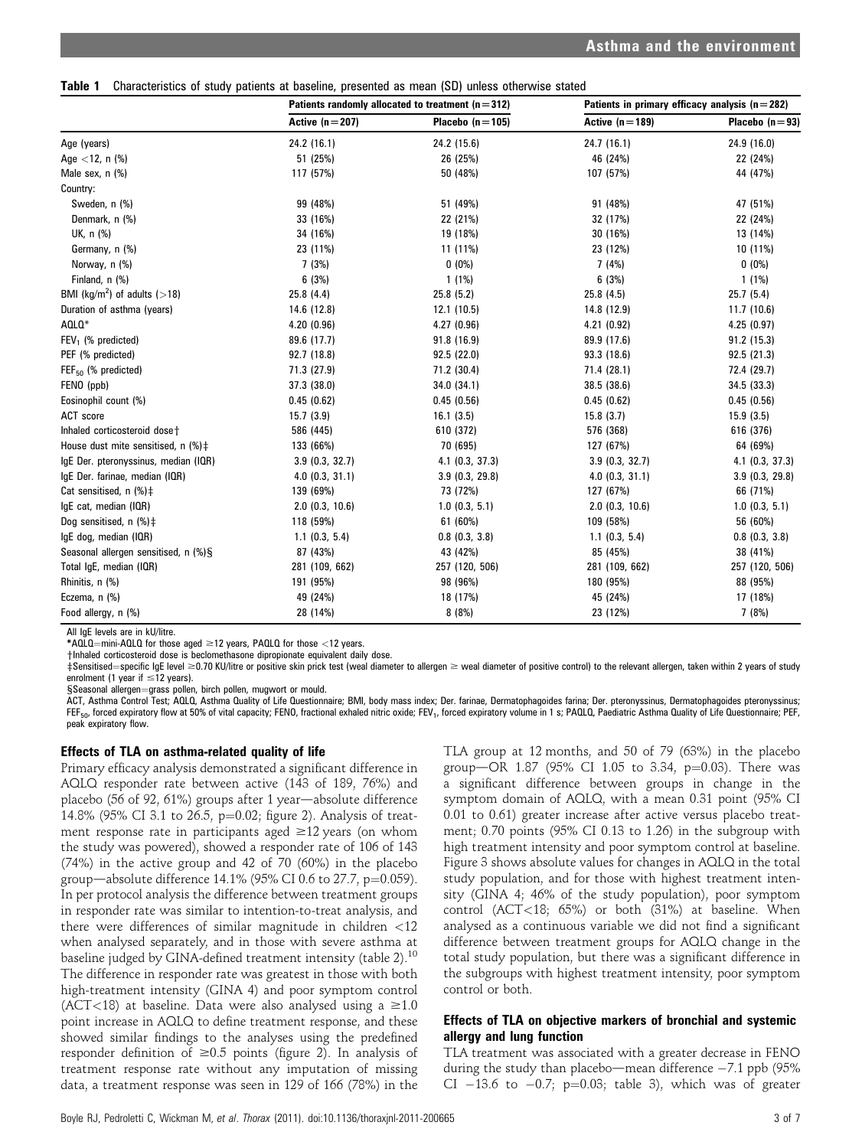|  |  |  |  | Table 1 Characteristics of study patients at baseline, presented as mean (SD) unless otherwise stated |  |  |  |
|--|--|--|--|-------------------------------------------------------------------------------------------------------|--|--|--|
|--|--|--|--|-------------------------------------------------------------------------------------------------------|--|--|--|

|                                              | Patients randomly allocated to treatment $(n=312)$ |                   | Patients in primary efficacy analysis $(n=282)$ |                    |
|----------------------------------------------|----------------------------------------------------|-------------------|-------------------------------------------------|--------------------|
|                                              | Active $(n=207)$                                   | Placebo $(n=105)$ | Active $(n=189)$                                | Placebo $(n=93)$   |
| Age (years)                                  | 24.2 (16.1)                                        | 24.2 (15.6)       | 24.7 (16.1)                                     | 24.9 (16.0)        |
| Age $<$ 12, n $\frac{1}{2}$                  | 51 (25%)                                           | 26 (25%)          | 46 (24%)                                        | 22 (24%)           |
| Male sex, n (%)                              | 117 (57%)                                          | 50 (48%)          | 107 (57%)                                       | 44 (47%)           |
| Country:                                     |                                                    |                   |                                                 |                    |
| Sweden, n (%)                                | 99 (48%)                                           | 51 (49%)          | 91 (48%)                                        | 47 (51%)           |
| Denmark, n (%)                               | 33 (16%)                                           | 22 (21%)          | 32 (17%)                                        | 22 (24%)           |
| UK, n (%)                                    | 34 (16%)                                           | 19 (18%)          | 30 (16%)                                        | 13 (14%)           |
| Germany, n (%)                               | 23 (11%)                                           | 11 (11%)          | 23 (12%)                                        | 10 (11%)           |
| Norway, n (%)                                | 7(3%)                                              | $0(0\%)$          | 7(4%)                                           | $0(0\%)$           |
| Finland, n (%)                               | 6(3%)                                              | $1(1\%)$          | 6(3%)                                           | $1(1\%)$           |
| BMI (kg/m <sup>2</sup> ) of adults ( $>18$ ) | 25.8(4.4)                                          | 25.8(5.2)         | 25.8(4.5)                                       | 25.7(5.4)          |
| Duration of asthma (years)                   | 14.6 (12.8)                                        | 12.1(10.5)        | 14.8 (12.9)                                     | 11.7(10.6)         |
| AQLO*                                        | 4.20(0.96)                                         | 4.27(0.96)        | 4.21(0.92)                                      | 4.25(0.97)         |
| $FEV1$ (% predicted)                         | 89.6 (17.7)                                        | 91.8 (16.9)       | 89.9 (17.6)                                     | 91.2 (15.3)        |
| PEF (% predicted)                            | 92.7 (18.8)                                        | 92.5(22.0)        | 93.3 (18.6)                                     | 92.5(21.3)         |
| $FEF_{50}$ (% predicted)                     | 71.3 (27.9)                                        | 71.2 (30.4)       | 71.4 (28.1)                                     | 72.4 (29.7)        |
| FENO (ppb)                                   | 37.3 (38.0)                                        | 34.0(34.1)        | 38.5 (38.6)                                     | 34.5 (33.3)        |
| Eosinophil count (%)                         | 0.45(0.62)                                         | 0.45(0.56)        | 0.45(0.62)                                      | 0.45(0.56)         |
| ACT score                                    | 15.7(3.9)                                          | 16.1(3.5)         | 15.8(3.7)                                       | 15.9(3.5)          |
| Inhaled corticosteroid dose+                 | 586 (445)                                          | 610 (372)         | 576 (368)                                       | 616 (376)          |
| House dust mite sensitised, n (%) ‡          | 133 (66%)                                          | 70 (695)          | 127 (67%)                                       | 64 (69%)           |
| IgE Der. pteronyssinus, median (IQR)         | 3.9(0.3, 32.7)                                     | $4.1$ (0.3, 37.3) | 3.9(0.3, 32.7)                                  | $4.1$ (0.3, 37.3)  |
| IgE Der. farinae, median (IQR)               | $4.0$ (0.3, 31.1)                                  | 3.9(0.3, 29.8)    | $4.0$ (0.3, 31.1)                               | 3.9(0.3, 29.8)     |
| Cat sensitised, $n$ (%) $\ddagger$           | 139 (69%)                                          | 73 (72%)          | 127 (67%)                                       | 66 (71%)           |
| IgE cat, median (IQR)                        | $2.0$ (0.3, 10.6)                                  | $1.0$ (0.3, 5.1)  | $2.0$ (0.3, 10.6)                               | $1.0$ (0.3, 5.1)   |
| Dog sensitised, $n$ (%) $\ddagger$           | 118 (59%)                                          | 61 (60%)          | 109 (58%)                                       | 56 (60%)           |
| IgE dog, median (IQR)                        | $1.1$ (0.3, 5.4)                                   | $0.8$ (0.3, 3.8)  | $1.1$ (0.3, 5.4)                                | $0.8$ $(0.3, 3.8)$ |
| Seasonal allergen sensitised, n (%)§         | 87 (43%)                                           | 43 (42%)          | 85 (45%)                                        | 38 (41%)           |
| Total IgE, median (IQR)                      | 281 (109, 662)                                     | 257 (120, 506)    | 281 (109, 662)                                  | 257 (120, 506)     |
| Rhinitis, n (%)                              | 191 (95%)                                          | 98 (96%)          | 180 (95%)                                       | 88 (95%)           |
| Eczema, n (%)                                | 49 (24%)                                           | 18 (17%)          | 45 (24%)                                        | 17 (18%)           |
| Food allergy, n (%)                          | 28 (14%)                                           | 8(8%)             | 23 (12%)                                        | 7(8%)              |

All IgE levels are in kU/litre.

\*AQL $Q$  = mini-AQLQ for those aged  $\geq$  12 years, PAQLQ for those <12 years.

yInhaled corticosteroid dose is beclomethasone dipropionate equivalent daily dose.

 $z$  is a second that the second  $z$  of  $z$  or  $z$  and  $z$  and  $z$  and  $z$  and  $z$  are the study and the study and diameter to allergen  $\geq$  weal diameter of positive control) to the relevant allergen, taken within 2 year enrolment (1 year if  $\leq$ 12 years).

 $\frac{1}{2}$ Seasonal allergen=grass pollen, birch pollen, mugwort or mould.

ACT, Asthma Control Test; AQLQ, Asthma Quality of Life Questionnaire; BMI, body mass index; Der. farinae, Dermatophagoides farina; Der. pteronyssinus, Dermatophagoides pteronyssinus; FEF<sub>50</sub>, forced expiratory flow at 50% of vital capacity; FENO, fractional exhaled nitric oxide; FEV<sub>1</sub>, forced expiratory volume in 1 s; PAQLQ, Paediatric Asthma Quality of Life Questionnaire; PEF, peak expiratory flow.

#### Effects of TLA on asthma-related quality of life

Primary efficacy analysis demonstrated a significant difference in AQLQ responder rate between active (143 of 189, 76%) and placebo (56 of 92, 61%) groups after 1 year—absolute difference 14.8% (95% CI 3.1 to 26.5,  $p=0.02$ ; figure 2). Analysis of treatment response rate in participants aged  $\geq$ 12 years (on whom the study was powered), showed a responder rate of 106 of 143 (74%) in the active group and 42 of 70 (60%) in the placebo group—absolute difference 14.1% (95% CI 0.6 to 27.7, p=0.059). In per protocol analysis the difference between treatment groups in responder rate was similar to intention-to-treat analysis, and there were differences of similar magnitude in children <12 when analysed separately, and in those with severe asthma at baseline judged by GINA-defined treatment intensity (table 2).<sup>10</sup> The difference in responder rate was greatest in those with both high-treatment intensity (GINA 4) and poor symptom control (ACT<18) at baseline. Data were also analysed using a  $\geq 1.0$ point increase in AQLQ to define treatment response, and these showed similar findings to the analyses using the predefined responder definition of  $\geq 0.5$  points (figure 2). In analysis of treatment response rate without any imputation of missing data, a treatment response was seen in 129 of 166 (78%) in the

TLA group at 12 months, and 50 of 79 (63%) in the placebo group-OR 1.87 (95% CI 1.05 to 3.34, p=0.03). There was a significant difference between groups in change in the symptom domain of AQLQ, with a mean 0.31 point (95% CI 0.01 to 0.61) greater increase after active versus placebo treatment; 0.70 points (95% CI 0.13 to 1.26) in the subgroup with high treatment intensity and poor symptom control at baseline. Figure 3 shows absolute values for changes in AQLQ in the total study population, and for those with highest treatment intensity (GINA 4; 46% of the study population), poor symptom control (ACT<18; 65%) or both (31%) at baseline. When analysed as a continuous variable we did not find a significant difference between treatment groups for AQLQ change in the total study population, but there was a significant difference in the subgroups with highest treatment intensity, poor symptom control or both.

## Effects of TLA on objective markers of bronchial and systemic allergy and lung function

TLA treatment was associated with a greater decrease in FENO during the study than placebo—mean difference  $-7.1$  ppb (95%) CI  $-13.6$  to  $-0.7$ ;  $p=0.03$ ; table 3), which was of greater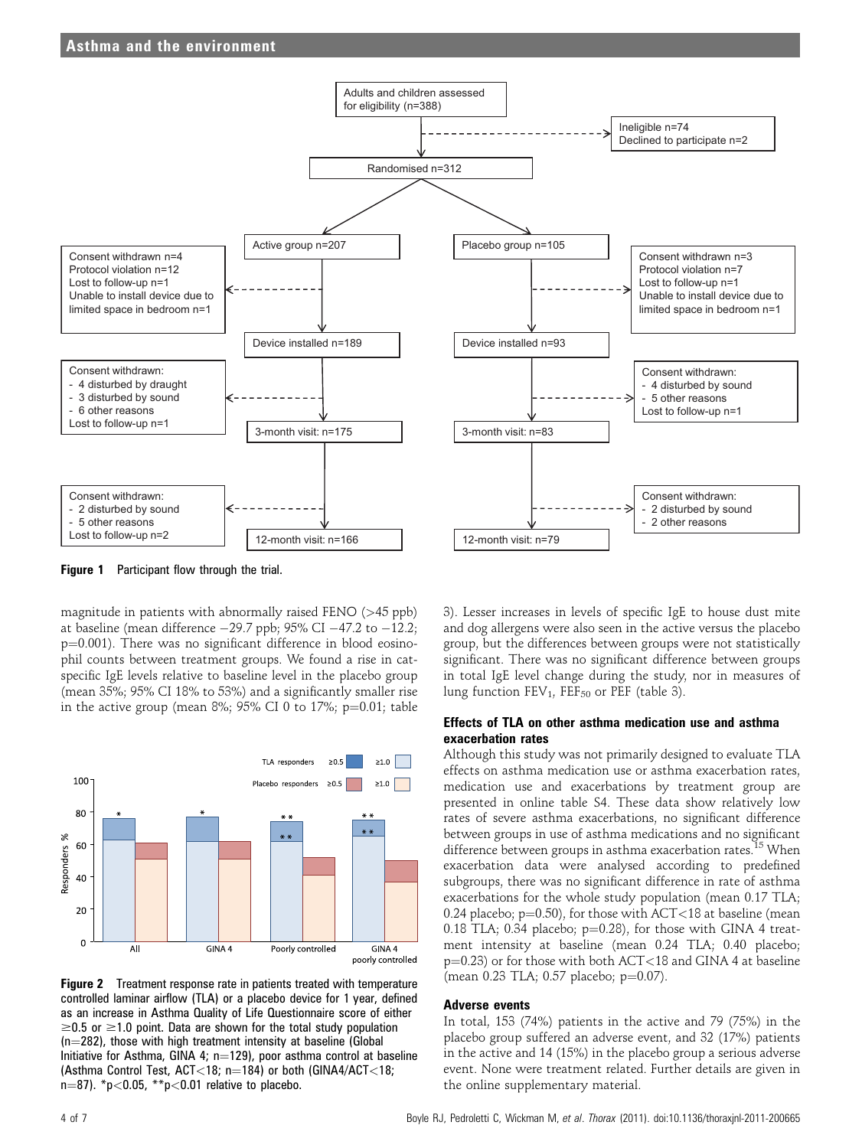

**Figure 1** Participant flow through the trial.

magnitude in patients with abnormally raised FENO  $($ >45 ppb) at baseline (mean difference -29.7 ppb; 95% CI -47.2 to -12.2;  $p=0.001$ ). There was no significant difference in blood eosinophil counts between treatment groups. We found a rise in catspecific IgE levels relative to baseline level in the placebo group (mean 35%; 95% CI 18% to 53%) and a significantly smaller rise in the active group (mean 8%; 95% CI 0 to 17%;  $p=0.01$ ; table



Figure 2 Treatment response rate in patients treated with temperature controlled laminar airflow (TLA) or a placebo device for 1 year, defined as an increase in Asthma Quality of Life Questionnaire score of either  $\geq$ 0.5 or  $\geq$ 1.0 point. Data are shown for the total study population  $(n=282)$ , those with high treatment intensity at baseline (Global Initiative for Asthma, GINA 4;  $n=129$ ), poor asthma control at baseline (Asthma Control Test,  $ACT < 18$ ; n=184) or both (GINA4/ACT $<$ 18; n=87). \*p<0.05, \*\*p<0.01 relative to placebo.

3). Lesser increases in levels of specific IgE to house dust mite and dog allergens were also seen in the active versus the placebo group, but the differences between groups were not statistically significant. There was no significant difference between groups in total IgE level change during the study, nor in measures of lung function  $FEV_1$ ,  $FEF_{50}$  or PEF (table 3).

### Effects of TLA on other asthma medication use and asthma exacerbation rates

Although this study was not primarily designed to evaluate TLA effects on asthma medication use or asthma exacerbation rates, medication use and exacerbations by treatment group are presented in online table S4. These data show relatively low rates of severe asthma exacerbations, no significant difference between groups in use of asthma medications and no significant difference between groups in asthma exacerbation rates.<sup>15</sup> When exacerbation data were analysed according to predefined subgroups, there was no significant difference in rate of asthma exacerbations for the whole study population (mean 0.17 TLA; 0.24 placebo;  $p=0.50$ ), for those with ACT<18 at baseline (mean 0.18 TLA; 0.34 placebo;  $p=0.28$ ), for those with GINA 4 treatment intensity at baseline (mean 0.24 TLA; 0.40 placebo;  $p=0.23$ ) or for those with both ACT<18 and GINA 4 at baseline (mean  $0.23$  TLA;  $0.57$  placebo;  $p=0.07$ ).

#### Adverse events

In total, 153 (74%) patients in the active and 79 (75%) in the placebo group suffered an adverse event, and 32 (17%) patients in the active and 14 (15%) in the placebo group a serious adverse event. None were treatment related. Further details are given in the online supplementary material.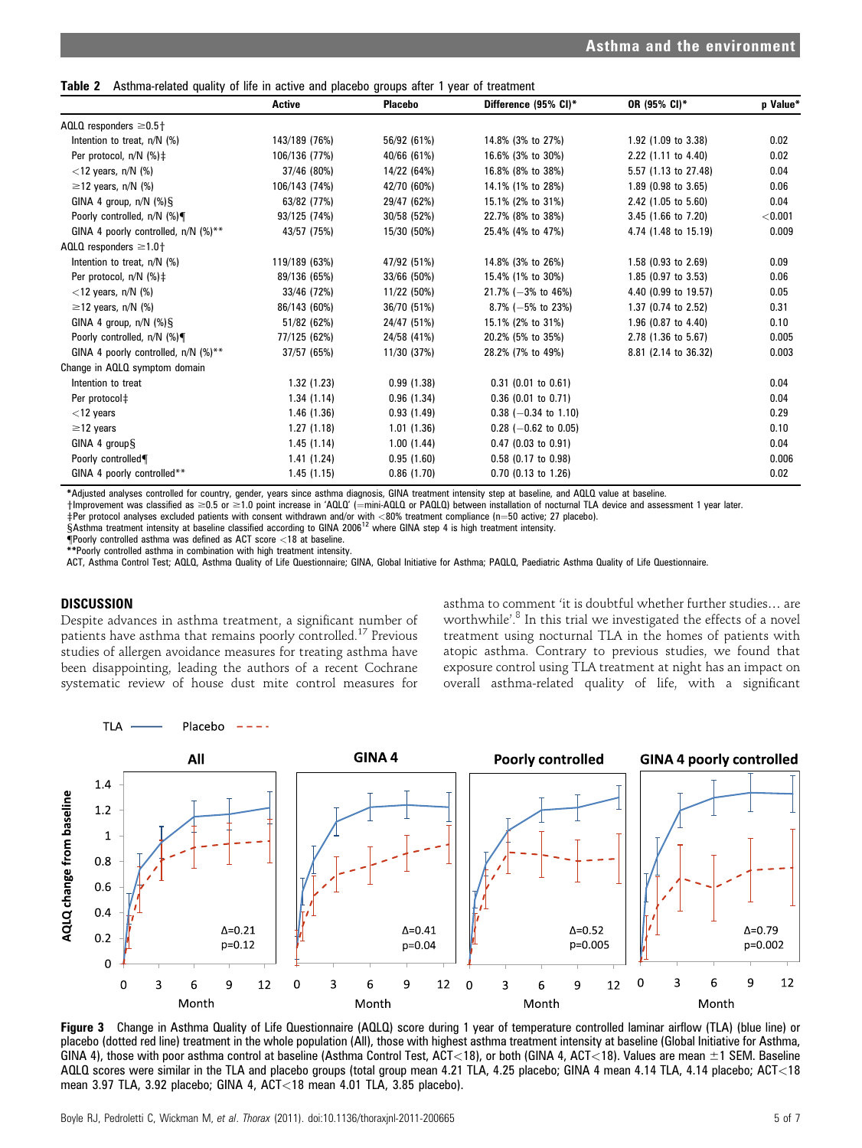Table 2 Asthma-related quality of life in active and placebo groups after 1 year of treatment

|                                         | Active        | <b>Placebo</b> | Difference (95% CI)*   | OR (95% CI)*          | p Value* |
|-----------------------------------------|---------------|----------------|------------------------|-----------------------|----------|
| AQLQ responders $\geq 0.5$ +            |               |                |                        |                       |          |
| Intention to treat, $n/N$ (%)           | 143/189 (76%) | 56/92 (61%)    | 14.8% (3% to 27%)      | 1.92 (1.09 to 3.38)   | 0.02     |
| Per protocol, $n/N$ (%) $\pm$           | 106/136 (77%) | 40/66 (61%)    | 16.6% (3% to 30%)      | 2.22 (1.11 to 4.40)   | 0.02     |
| $<$ 12 years, n/N (%)                   | 37/46 (80%)   | 14/22 (64%)    | 16.8% (8% to 38%)      | 5.57 (1.13 to 27.48)  | 0.04     |
| $\geq$ 12 years, n/N (%)                | 106/143 (74%) | 42/70 (60%)    | 14.1% (1% to 28%)      | 1.89 (0.98 to 3.65)   | 0.06     |
| GINA 4 group, $n/N$ (%) §               | 63/82 (77%)   | 29/47 (62%)    | 15.1% (2% to 31%)      | 2.42 (1.05 to 5.60)   | 0.04     |
| Poorly controlled, n/N (%)¶             | 93/125 (74%)  | 30/58 (52%)    | 22.7% (8% to 38%)      | 3.45 (1.66 to 7.20)   | < 0.001  |
| GINA 4 poorly controlled, $n/N$ (%)**   | 43/57 (75%)   | 15/30 (50%)    | 25.4% (4% to 47%)      | 4.74 (1.48 to 15.19)  | 0.009    |
| AQLQ responders $\geq 1.0$ <sup>+</sup> |               |                |                        |                       |          |
| Intention to treat, $n/N$ (%)           | 119/189 (63%) | 47/92 (51%)    | 14.8% (3% to 26%)      | $1.58$ (0.93 to 2.69) | 0.09     |
| Per protocol, $n/N$ (%) $\ddagger$      | 89/136 (65%)  | 33/66 (50%)    | 15.4% (1% to 30%)      | $1.85$ (0.97 to 3.53) | 0.06     |
| $<$ 12 years, n/N (%)                   | 33/46 (72%)   | 11/22 (50%)    | $21.7\%$ (-3% to 46%)  | 4.40 (0.99 to 19.57)  | 0.05     |
| $\geq$ 12 years, n/N (%)                | 86/143 (60%)  | 36/70 (51%)    | $8.7\%$ (-5% to 23%)   | 1.37 (0.74 to 2.52)   | 0.31     |
| GINA 4 group, $n/N$ (%) §               | 51/82 (62%)   | 24/47 (51%)    | 15.1% (2% to 31%)      | 1.96 (0.87 to 4.40)   | 0.10     |
| Poorly controlled, n/N (%)¶             | 77/125 (62%)  | 24/58 (41%)    | 20.2% (5% to 35%)      | 2.78 (1.36 to 5.67)   | 0.005    |
| GINA 4 poorly controlled, $n/N$ (%)**   | 37/57 (65%)   | 11/30 (37%)    | 28.2% (7% to 49%)      | 8.81 (2.14 to 36.32)  | 0.003    |
| Change in AQLQ symptom domain           |               |                |                        |                       |          |
| Intention to treat                      | 1.32(1.23)    | 0.99(1.38)     | $0.31$ (0.01 to 0.61)  |                       | 0.04     |
| Per protocol‡                           | 1.34(1.14)    | 0.96(1.34)     | $0.36$ (0.01 to 0.71)  |                       | 0.04     |
| $<$ 12 years                            | 1.46(1.36)    | 0.93(1.49)     | $0.38$ (-0.34 to 1.10) |                       | 0.29     |
| $\geq$ 12 years                         | 1.27(1.18)    | 1.01(1.36)     | $0.28$ (-0.62 to 0.05) |                       | 0.10     |
| GINA 4 group S                          | 1.45(1.14)    | 1.00(1.44)     | $0.47$ (0.03 to 0.91)  |                       | 0.04     |
| Poorly controlled¶                      | 1.41(1.24)    | 0.95(1.60)     | $0.58$ (0.17 to 0.98)  |                       | 0.006    |
| GINA 4 poorly controlled**              | 1.45(1.15)    | 0.86(1.70)     | $0.70$ (0.13 to 1.26)  |                       | 0.02     |

\*Adjusted analyses controlled for country, gender, years since asthma diagnosis, GINA treatment intensity step at baseline, and AQLQ value at baseline.

 $\dagger$ Improvement was classified as  $\geq$ 0.5 or  $\geq$ 1.0 point increase in 'AQLQ' (=mini-AQLQ or PAQLQ) between installation of nocturnal TLA device and assessment 1 year later.

 $\pm$ Per protocol analyses excluded patients with consent withdrawn and/or with <80% treatment compliance (n=50 active; 27 placebo).

 $S$ Asthma treatment intensity at baseline classified according to GINA 2006<sup>12</sup> where GINA step 4 is high treatment intensity.

 $\overline{\P}$ Poorly controlled asthma was defined as ACT score <18 at baseline.

\*\*Poorly controlled asthma in combination with high treatment intensity.

ACT, Asthma Control Test; AQLQ, Asthma Quality of Life Questionnaire; GINA, Global Initiative for Asthma; PAQLQ, Paediatric Asthma Quality of Life Questionnaire.

### **DISCUSSION**

Despite advances in asthma treatment, a significant number of patients have asthma that remains poorly controlled.<sup>17</sup> Previous studies of allergen avoidance measures for treating asthma have been disappointing, leading the authors of a recent Cochrane systematic review of house dust mite control measures for

asthma to comment 'it is doubtful whether further studies. are worthwhile'. <sup>8</sup> In this trial we investigated the effects of a novel treatment using nocturnal TLA in the homes of patients with atopic asthma. Contrary to previous studies, we found that exposure control using TLA treatment at night has an impact on overall asthma-related quality of life, with a significant



Figure 3 Change in Asthma Quality of Life Questionnaire (AQLQ) score during 1 year of temperature controlled laminar airflow (TLA) (blue line) or placebo (dotted red line) treatment in the whole population (All), those with highest asthma treatment intensity at baseline (Global Initiative for Asthma, GINA 4), those with poor asthma control at baseline (Asthma Control Test, ACT<18), or both (GINA 4, ACT<18). Values are mean  $\pm 1$  SEM. Baseline AQLQ scores were similar in the TLA and placebo groups (total group mean 4.21 TLA, 4.25 placebo; GINA 4 mean 4.14 TLA, 4.14 placebo; ACT<18 mean 3.97 TLA, 3.92 placebo; GINA 4, ACT<18 mean 4.01 TLA, 3.85 placebo).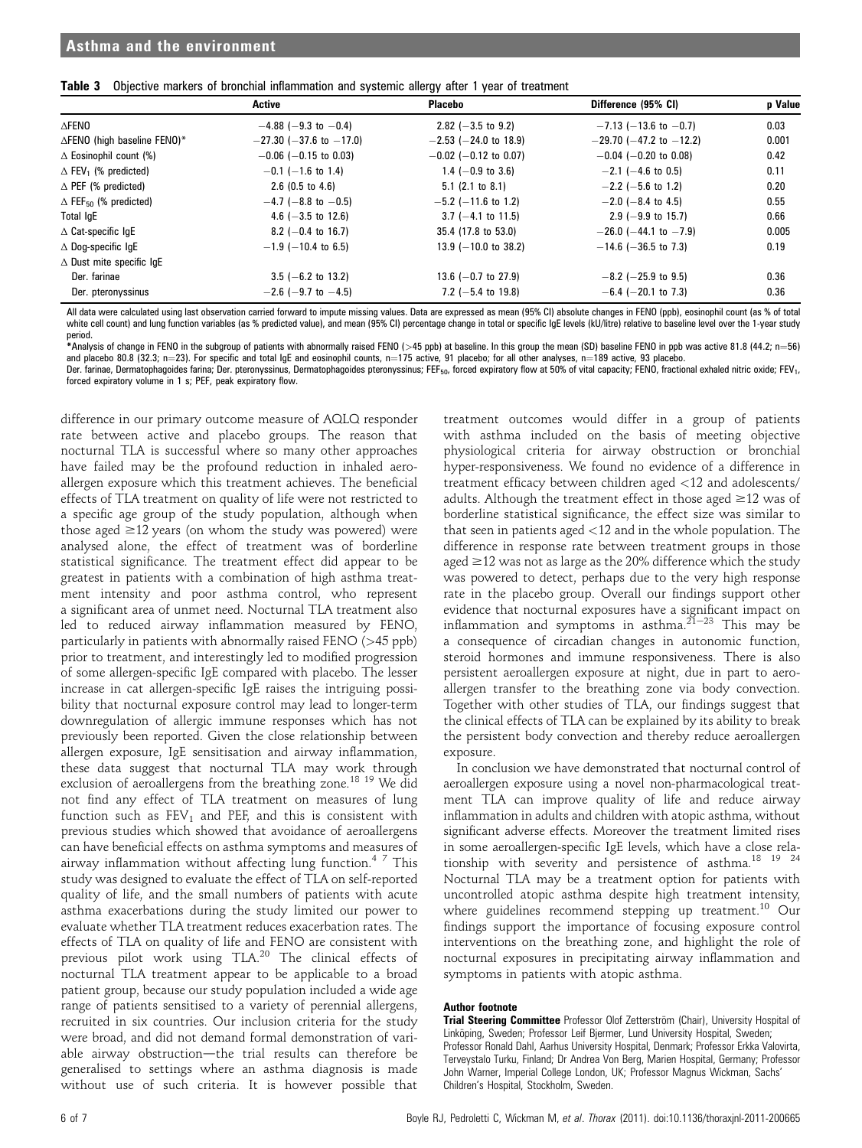|  |  |  |  |  |  |  | Table 3 Objective markers of bronchial inflammation and systemic allergy after 1 year of treatment |
|--|--|--|--|--|--|--|----------------------------------------------------------------------------------------------------|
|--|--|--|--|--|--|--|----------------------------------------------------------------------------------------------------|

|                                             | Active                          | <b>Placebo</b>                  | Difference (95% CI)             | p Value |
|---------------------------------------------|---------------------------------|---------------------------------|---------------------------------|---------|
| $\triangle$ FENO                            | $-4.88$ (-9.3 to -0.4)          | 2.82 $(-3.5 \text{ to } 9.2)$   | $-7.13$ (-13.6 to -0.7)         | 0.03    |
| $\Delta$ FENO (high baseline FENO)*         | $-27.30$ ( $-37.6$ to $-17.0$ ) | $-2.53$ ( $-24.0$ to 18.9)      | $-29.70$ ( $-47.2$ to $-12.2$ ) | 0.001   |
| $\triangle$ Eosinophil count (%)            | $-0.06$ ( $-0.15$ to 0.03)      | $-0.02$ ( $-0.12$ to 0.07)      | $-0.04$ ( $-0.20$ to 0.08)      | 0.42    |
| $\Delta$ FEV <sub>1</sub> (% predicted)     | $-0.1$ (-1.6 to 1.4)            | 1.4 $(-0.9$ to 3.6)             | $-2.1$ ( $-4.6$ to 0.5)         | 0.11    |
| $\triangle$ PEF (% predicted)               | $2.6$ (0.5 to 4.6)              | $5.1$ (2.1 to 8.1)              | $-2.2$ ( $-5.6$ to 1.2)         | 0.20    |
| $\triangle$ FEF <sub>50</sub> (% predicted) | $-4.7$ (-8.8 to -0.5)           | $-5.2$ ( $-11.6$ to 1.2)        | $-2.0$ (-8.4 to 4.5)            | 0.55    |
| Total IgE                                   | 4.6 $(-3.5 \text{ to } 12.6)$   | $3.7$ (-4.1 to 11.5)            | $2.9$ (-9.9 to 15.7)            | 0.66    |
| $\Delta$ Cat-specific IqE                   | 8.2 $(-0.4 \text{ to } 16.7)$   | 35.4 (17.8 to 53.0)             | $-26.0$ ( $-44.1$ to $-7.9$ )   | 0.005   |
| $\triangle$ Dog-specific IgE                | $-1.9$ (-10.4 to 6.5)           | 13.9 $(-10.0 \text{ to } 38.2)$ | $-14.6$ (-36.5 to 7.3)          | 0.19    |
| $\triangle$ Dust mite specific IqE          |                                 |                                 |                                 |         |
| Der. farinae                                | 3.5 ( $-6.2$ to 13.2)           | 13.6 ( $-0.7$ to 27.9)          | $-8.2$ ( $-25.9$ to 9.5)        | 0.36    |
| Der. pteronyssinus                          | $-2.6$ (-9.7 to -4.5)           | 7.2 ( $-5.4$ to 19.8)           | $-6.4$ ( $-20.1$ to 7.3)        | 0.36    |

All data were calculated using last observation carried forward to impute missing values. Data are expressed as mean (95% CI) absolute changes in FENO (ppb), eosinophil count (as % of total white cell count) and lung function variables (as % predicted value), and mean (95% CI) percentage change in total or specific IgE levels (kU/litre) relative to baseline level over the 1-year study period.

\*Analysis of change in FENO in the subgroup of patients with abnormally raised FENO (>45 ppb) at baseline. In this group the mean (SD) baseline FENO in ppb was active 81.8 (44.2; n=56) and placebo 80.8 (32.3; n=23). For specific and total IgE and eosinophil counts, n=175 active, 91 placebo; for all other analyses, n=189 active, 93 placebo.

Der. farinae, Dermatophagoides farina; Der. pteronyssinus, Dermatophagoides pteronyssinus; FEF<sub>50</sub>, forced expiratory flow at 50% of vital capacity; FENO, fractional exhaled nitric oxide; FEV<sub>1</sub>, forced expiratory volume in 1 s; PEF, peak expiratory flow.

difference in our primary outcome measure of AQLQ responder rate between active and placebo groups. The reason that nocturnal TLA is successful where so many other approaches have failed may be the profound reduction in inhaled aeroallergen exposure which this treatment achieves. The beneficial effects of TLA treatment on quality of life were not restricted to a specific age group of the study population, although when those aged  $\geq$ 12 years (on whom the study was powered) were analysed alone, the effect of treatment was of borderline statistical significance. The treatment effect did appear to be greatest in patients with a combination of high asthma treatment intensity and poor asthma control, who represent a significant area of unmet need. Nocturnal TLA treatment also led to reduced airway inflammation measured by FENO, particularly in patients with abnormally raised FENO (>45 ppb) prior to treatment, and interestingly led to modified progression of some allergen-specific IgE compared with placebo. The lesser increase in cat allergen-specific IgE raises the intriguing possibility that nocturnal exposure control may lead to longer-term downregulation of allergic immune responses which has not previously been reported. Given the close relationship between allergen exposure, IgE sensitisation and airway inflammation, these data suggest that nocturnal TLA may work through exclusion of aeroallergens from the breathing zone.18 19 We did not find any effect of TLA treatment on measures of lung function such as  $FEV<sub>1</sub>$  and PEF, and this is consistent with previous studies which showed that avoidance of aeroallergens can have beneficial effects on asthma symptoms and measures of airway inflammation without affecting lung function.<sup>4</sup> <sup>7</sup> This study was designed to evaluate the effect of TLA on self-reported quality of life, and the small numbers of patients with acute asthma exacerbations during the study limited our power to evaluate whether TLA treatment reduces exacerbation rates. The effects of TLA on quality of life and FENO are consistent with previous pilot work using TLA.<sup>20</sup> The clinical effects of nocturnal TLA treatment appear to be applicable to a broad patient group, because our study population included a wide age range of patients sensitised to a variety of perennial allergens, recruited in six countries. Our inclusion criteria for the study were broad, and did not demand formal demonstration of variable airway obstruction-the trial results can therefore be generalised to settings where an asthma diagnosis is made without use of such criteria. It is however possible that

treatment outcomes would differ in a group of patients with asthma included on the basis of meeting objective physiological criteria for airway obstruction or bronchial hyper-responsiveness. We found no evidence of a difference in treatment efficacy between children aged <12 and adolescents/ adults. Although the treatment effect in those aged  $\geq$ 12 was of borderline statistical significance, the effect size was similar to that seen in patients aged <12 and in the whole population. The difference in response rate between treatment groups in those aged  $\geq$ 12 was not as large as the 20% difference which the study was powered to detect, perhaps due to the very high response rate in the placebo group. Overall our findings support other evidence that nocturnal exposures have a significant impact on inflammation and symptoms in asthma.<sup>21-23</sup> This may be a consequence of circadian changes in autonomic function, steroid hormones and immune responsiveness. There is also persistent aeroallergen exposure at night, due in part to aeroallergen transfer to the breathing zone via body convection. Together with other studies of TLA, our findings suggest that the clinical effects of TLA can be explained by its ability to break the persistent body convection and thereby reduce aeroallergen exposure.

In conclusion we have demonstrated that nocturnal control of aeroallergen exposure using a novel non-pharmacological treatment TLA can improve quality of life and reduce airway inflammation in adults and children with atopic asthma, without significant adverse effects. Moreover the treatment limited rises in some aeroallergen-specific IgE levels, which have a close relationship with severity and persistence of asthma.18 19 24 Nocturnal TLA may be a treatment option for patients with uncontrolled atopic asthma despite high treatment intensity, where guidelines recommend stepping up treatment.<sup>10</sup> Our findings support the importance of focusing exposure control interventions on the breathing zone, and highlight the role of nocturnal exposures in precipitating airway inflammation and symptoms in patients with atopic asthma.

#### Author footnote

Trial Steering Committee Professor Olof Zetterström (Chair), University Hospital of Linköping, Sweden; Professor Leif Bjermer, Lund University Hospital, Sweden; Professor Ronald Dahl, Aarhus University Hospital, Denmark; Professor Erkka Valovirta, Terveystalo Turku, Finland; Dr Andrea Von Berg, Marien Hospital, Germany; Professor John Warner, Imperial College London, UK; Professor Magnus Wickman, Sachs' Children's Hospital, Stockholm, Sweden.